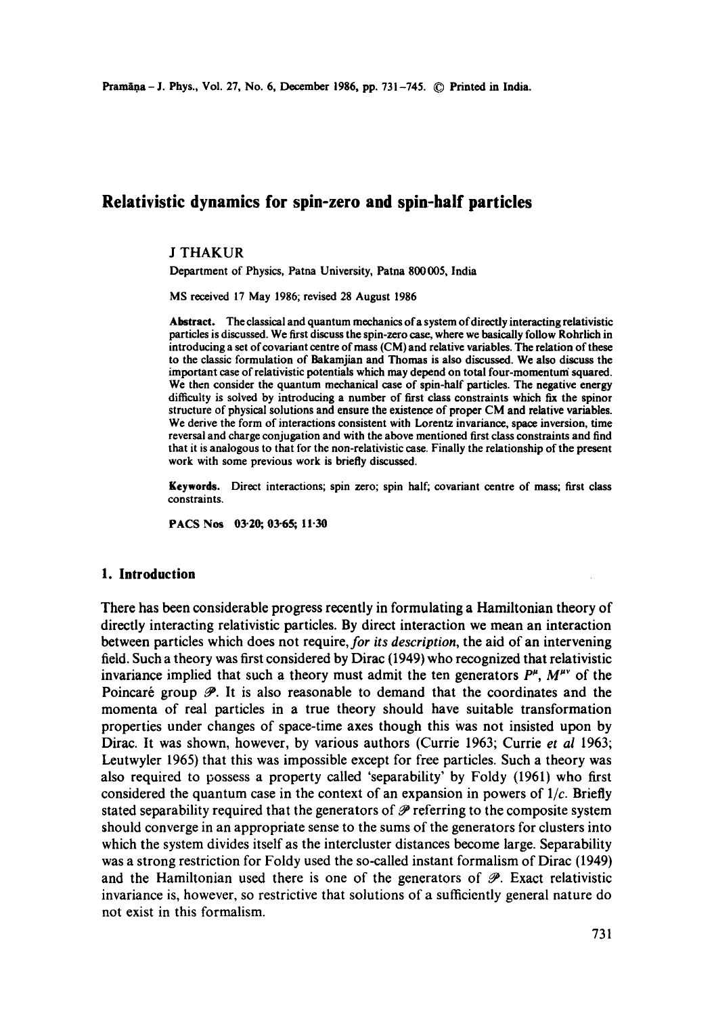# **Relativistic dynamics for spin-zero and spin-half particles**

## J THAKUR

Department of Physics, Patna University, Patna 800005, India

MS received 17 May 1986; revised 28 August 1986

Abstract. The classical and quantum mechanics of a system of directly interacting relativistic particles is discussed. We first discuss the spin-zero case, where we basically follow Rohrlich in introducing a set of covariant centre of mass (CM) and relative variables. The relation of these to the classic formulation of Bakamjian and Thomas is also discussed. We also discuss the important case of relativistic potentials which may depend on total four-momentum squared. We then consider the quantum mechanical case of spin-half particles. The negative energy difficulty is solved by introducing a number of first class constraints which fix the spinor structure of physical solutions and ensure the existence of proper CM and relative variables. We derive the form of interactions consistent with Lorentz invariance, space inversion, time reversal and charge conjugation and with the above mentioned first class constraints and find that it is analogous to that for the non-relativistic case. Finally the relationship of the present work with some previous work is briefly discussed.

**Keywords.** Direct interactions; spin zero; spin half; covariant centre of mass; first class constraints.

**PACS Nos 03-20;, 03-65; 11-30** 

## **1. Introduction**

There has been considerable progress recently in formulating a Hamiltonian theory of directly interacting relativistic particles. By direct interaction we mean an interaction between particles which does not *require, for its description,* the aid of an intervening field. Such a theory was first considered by Dirac (1949) who recognized that relativistic invariance implied that such a theory must admit the ten generators  $P^{\mu}$ ,  $M^{\mu\nu}$  of the Poincaré group  $\mathcal{P}$ . It is also reasonable to demand that the coordinates and the momenta of real particles in a true theory should have suitable transformation properties under changes of space-time axes though this Was not insisted upon by Dirac. It was shown, however, by various authors (Currie 1963; Currie *et al* 1963; Leutwyler 1965) that this was impossible except for free particles. Such a theory was also required to possess a property called 'separability' by Foldy (1961) who first considered the quantum case in the context of an expansion in powers of  $1/c$ . Briefly stated separability required that the generators of  $\mathscr P$  referring to the composite system should converge in an appropriate sense to the sums of the generators for clusters into which the system divides itself as the intercluster distances become large. Separability was a strong restriction for Foldy used the so-called instant formalism of Dirac (1949) and the Hamiltonian used there is one of the generators of  $\mathscr{P}$ . Exact relativistic invariance is, however, so restrictive that solutions of a sufficiently general nature do not exist in this formalism.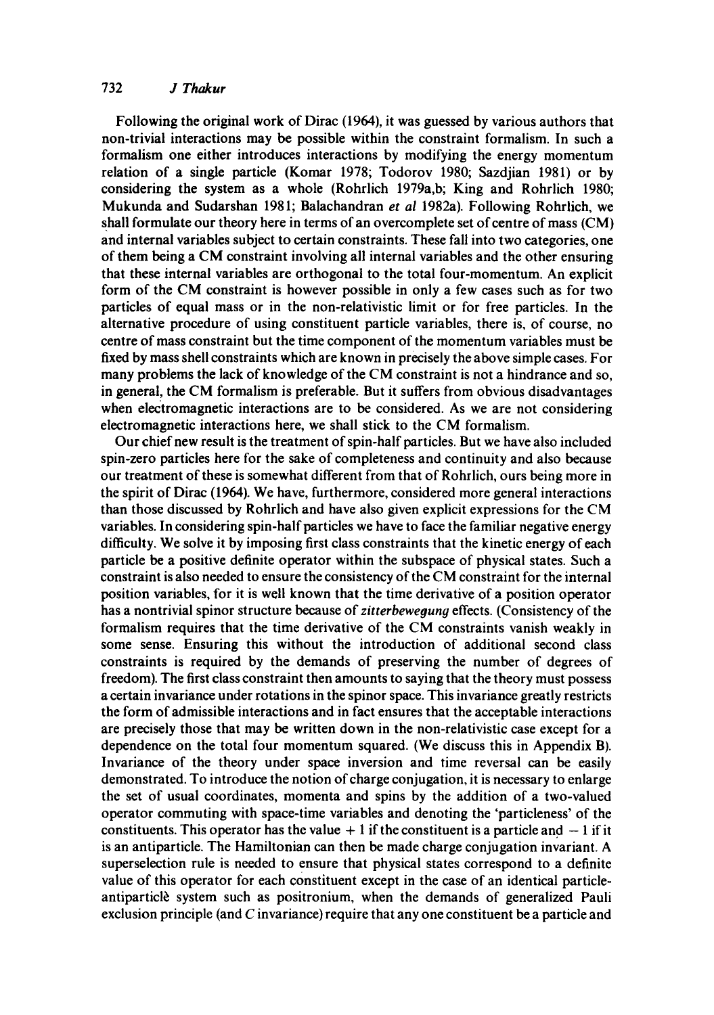## 732 *J Thakur*

Following the original work of Dirac (1964), it was guessed by various authors that non-trivial interactions may be possible within the constraint formalism. In such a formalism one either introduces interactions by modifying the energy momentum relation of a single particle (Komar 1978; Todorov 1980; Sazdjian 1981) or by considering the system as a whole (Rohrlich 1979a,b; King and Rohrlich 1980; Mukunda and Sudarshan 1981; Balachandran *et al* 1982a). Following Rohrlich, we shall formulate our theory here in terms of an overcomplete set of centre of mass (CM) and internal variables subject to certain constraints. These fall into two categories, one of them being a CM constraint involving all internal variables and the other ensuring that these internal variables are orthogonal to the total four-momentum. An explicit form of the CM constraint is however possible in only a few cases such as for two particles of equal mass or in the non-relativistic limit or for free particles. In the alternative procedure of using constituent particle variables, there is, of course, no centre of mass constraint but the time component of the momentum variables must be fixed by mass shell constraints which are known in precisely the above simple cases. For many problems the lack of knowledge of the CM constraint is not a hindrance and so, in general, the CM formalism is preferable. But it suffers from obvious disadvantages when electromagnetic interactions are to be considered. As we are not considering electromagnetic interactions here, we shall stick to the CM formalism.

Our chief new result is the treatment of spin-half particles. But we have also included spin-zero particles here for the sake of completeness and continuity and also because our treatment of these is somewhat different from that of Rohrlich, ours being more in the spirit of Dirac (1964). We have, furthermore, considered more general interactions than those discussed by Rohrlich and have also given explicit expressions for the CM variables. In considering spin-half particles we have to face the familiar negative energy difficulty. We solve it by imposing first class constraints that the kinetic energy of each particle be a positive definite operator within the subspace of physical states. Such a constraint is also needed to ensure the consistency of the CM constraint for the internal position variables, for it is well known that the time derivative of a position operator has a nontrivial spinor structure because of *zitterbewegung* effects. (Consistency of the formalism requires that the time derivative of the CM constraints vanish weakly in some sense. Ensuring this without the introduction of additional second class constraints is required by the demands of preserving the number of degrees of freedom). The first class constraint then amounts to saying that the theory must possess a certain invariance under rotations in the spinor space. This invariance greatly restricts the form of admissible interactions and in fact ensures that the acceptable interactions are precisely those that may be written down in the non-relativistic case except for a dependence on the total four momentum squared. (We discuss this in Appendix B). Invariance of the theory under space inversion and time reversal can be easily demonstrated. To introduce the notion of charge conjugation, it is necessary to enlarge the set of usual coordinates, momenta and spins by the addition of a two-valued operator commuting with space-time variables and denoting the 'particleness' of the constituents. This operator has the value  $+1$  if the constituent is a particle and  $-1$  if it is an antiparticle. The Hamiltonian can then be made charge conjugation invariant. A superselection rule is needed to ensure that physical states correspond to a definite value of this operator for each constituent except in the case of an identical particleantiparticle system such as positronium, when the demands of generalized Pauli exclusion principle (and  $C$  invariance) require that any one constituent be a particle and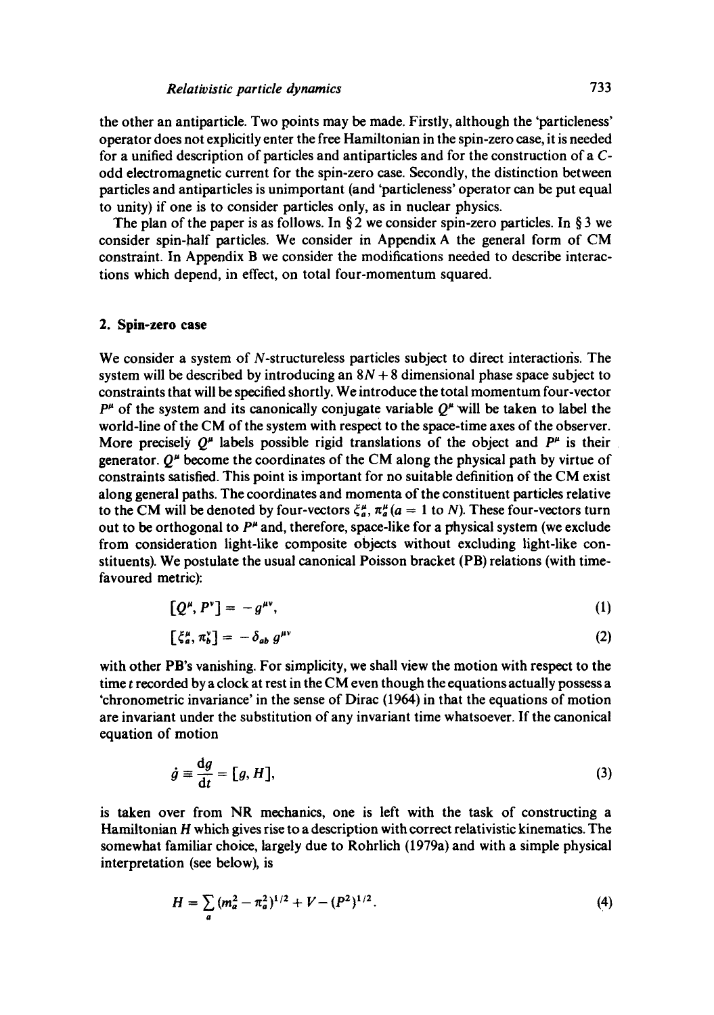the other an antiparticle. Two points may be made. Firstly, although the 'particleness' operator does not explicitly enter the free Hamiltonian in the spin-zero case, it is needed for a unified description of particles and antiparticles and for the construction of a Codd electromagnetic current for the spin-zero case. Secondly, the distinction between particles and antiparticles is unimportant (and 'particleness' operator can be put equal to unity) if one is to consider particles only, as in nuclear physics.

The plan of the paper is as follows. In §2 we consider spin-zero particles. In §3 we consider spin-half particles. We consider in Appendix A the general form of CM constraint. In Appendix B we consider the modifications needed to describe interactions which depend, in effect, on total four-momentum squared.

#### **2. Spin-zero case**

We consider a system of N-structureless particles subject to direct interactions. The system will be described by introducing an  $8N + 8$  dimensional phase space subject to constraints that will be specified shortly. We introduce the total momentum four-vector  $P^{\mu}$  of the system and its canonically conjugate variable  $Q^{\mu}$  will be taken to label the world-line of the CM of the system with respect to the space-time axes of the observer. More precisely  $Q^{\mu}$  labels possible rigid translations of the object and  $P^{\mu}$  is their generator.  $O^{\mu}$  become the coordinates of the CM along the physical path by virtue of constraints satisfied. This point is important for no suitable definition of the CM exist along general paths. The coordinates and momenta of the constituent particles relative to the CM will be denoted by four-vectors  $\xi_{a}^{\mu}$ ,  $\pi_{a}^{\mu}$  ( $a = 1$  to N). These four-vectors turn out to be orthogonal to  $P^{\mu}$  and, therefore, space-like for a physical system (we exclude from consideration light-like composite objects without excluding light-like constituents). We postulate the usual canonical Poisson bracket (PB) relations (with timefavoured metric):

$$
[Q^{\mu}, P^{\nu}] = -g^{\mu\nu}, \qquad (1)
$$

$$
\left[\xi_a^{\mu}, \pi_b^{\nu}\right] = -\delta_{ab} \, g^{\mu\nu} \tag{2}
$$

with other PB's vanishing. For simplicity, we shall view the motion with respect to the time  $t$  recorded by a clock at rest in the CM even though the equations actually possess a 'chronometric invariance' in the sense of Dirac (1964) in that the equations of motion are invariant under the substitution of any invariant time whatsoever. If the canonical equation of motion

$$
\dot{g} \equiv \frac{\mathrm{d}g}{\mathrm{d}t} = [g, H],\tag{3}
$$

is taken over from NR mechanics, one is left with the task of constructing a Hamiltonian H which gives rise to a description with correct relativistic kinematics. The somewhat familiar choice, largely due to Rohrlich (1979a) and with a simple physical interpretation (see below), is

$$
H = \sum_{a} (m_a^2 - \pi_a^2)^{1/2} + V - (P^2)^{1/2}.
$$
 (4)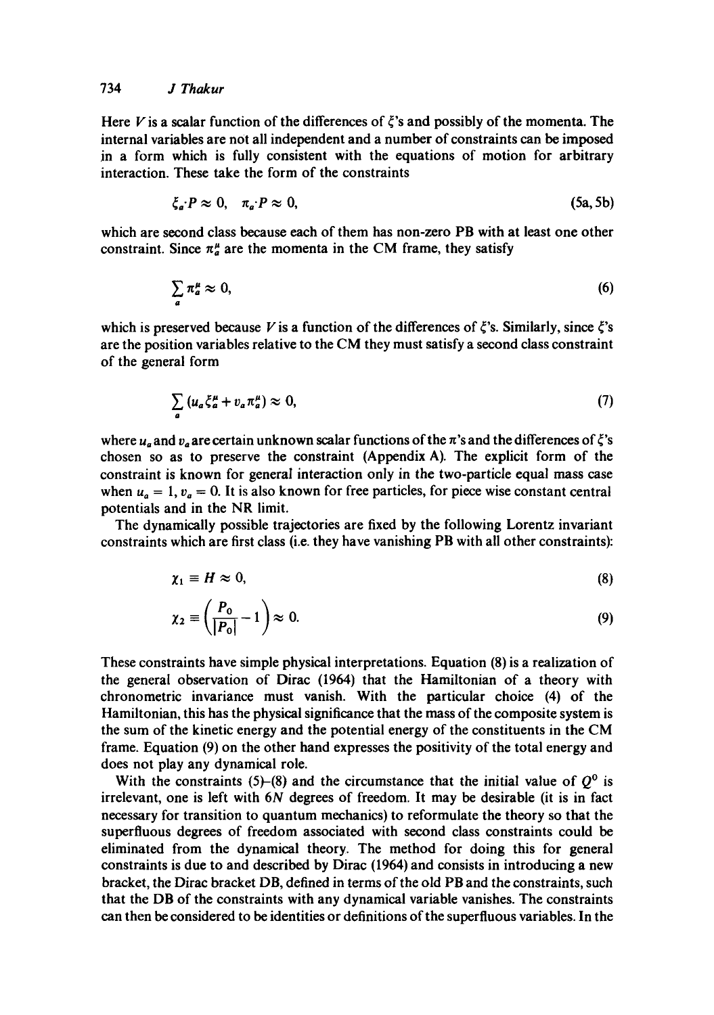Here V is a scalar function of the differences of  $\zeta$ 's and possibly of the momenta. The internal variables are not all independent and a number of constraints can be imposed in a form which is fully consistent with the equations of motion for arbitrary interaction. These take the form of the constraints

$$
\zeta_a \cdot P \approx 0, \quad \pi_a \cdot P \approx 0,\tag{5a, 5b}
$$

which are second class because each of them has non-zero PB with at least one other constraint. Since  $\pi_a^{\mu}$  are the momenta in the CM frame, they satisfy

$$
\sum_{a} \pi_a^{\mu} \approx 0,\tag{6}
$$

which is preserved because V is a function of the differences of  $\xi$ 's. Similarly, since  $\xi$ 's are the position variables relative to the CM they must satisfy a second class constraint of the general form

$$
\sum_{a} \left( u_a \zeta_a^{\mu} + v_a \pi_a^{\mu} \right) \approx 0, \tag{7}
$$

where  $u_a$  and  $v_a$  are certain unknown scalar functions of the  $\pi$ 's and the differences of  $\zeta$ 's chosen so as to preserve the constraint (Appendix A). The explicit form of the constraint is known for general interaction only in the two-particle equal mass case when  $u_a = 1$ ,  $v_a = 0$ . It is also known for free particles, for piece wise constant central potentials and in the NR limit.

The dynamically possible trajectories are fixed by the following Lorentz invariant constraints which are first class (i.e. they have vanishing PB with all other constraints):

$$
\chi_1 \equiv H \approx 0,\tag{8}
$$

$$
\chi_2 \equiv \left(\frac{P_0}{|P_0|} - 1\right) \approx 0. \tag{9}
$$

These constraints have simple physical interpretations. Equation (8) is a realization of the general observation of Dirac (1964) that the Hamiltonian of a theory with chronometric invariance must vanish. With the particular choice (4) of the Hamiltonian, this has the physical significance that the mass of the composite system is the sum of the kinetic energy and the potential energy of the constituents in the CM frame. Equation (9) on the other hand expresses the positivity of the total energy and does not play any dynamical role.

With the constraints (5)-(8) and the circumstance that the initial value of  $Q^0$  is irrelevant, one is left with 6N degrees of freedom. It may be desirable (it is in fact necessary for transition to quantum mechanics) to reformulate the theory so that the superfluous degrees of freedom associated with second class constraints could be eliminated from the dynamical theory. The method for doing this for general constraints is due to and described by Dirac (1964) and consists in introducing a new bracket, the Dirac bracket DB, defined in terms of the old PB and the constraints, such that the DB of the constraints with any dynamical variable vanishes. The constraints can then be considered to be identities or definitions of the superfluous variables. In the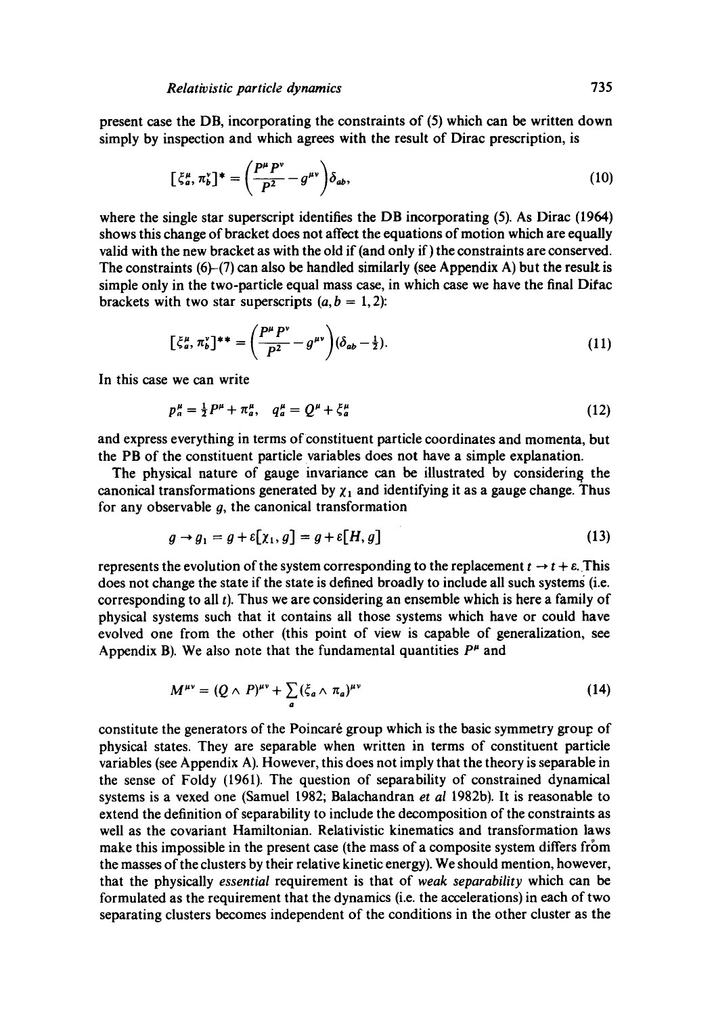present case the DB, incorporating the constraints of (5) which can be written down simply by inspection and which agrees with the result of Dirac prescription, is

$$
\left[\xi_a^\mu, \pi_b^\nu\right]^* = \left(\frac{P^\mu P^\nu}{P^2} - g^{\mu\nu}\right) \delta_{ab},\tag{10}
$$

where the single star superscript identifies the DB incorporating (5). As Dirac (1964) shows this change of bracket does not affect the equations of motion which are equally valid with the new bracket as with the old if (and only if) the constraints are conserved. The constraints  $(6)-(7)$  can also be handled similarly (see Appendix A) but the result is simple only in the two-particle equal mass case, in which case we have the final Difac brackets with two star superscripts  $(a, b = 1, 2)$ :

$$
[\xi_a^\mu, \pi_b^\nu]^{**} = \left(\frac{P^\mu P^\nu}{P^2} - g^{\mu\nu}\right)(\delta_{ab} - \frac{1}{2}).\tag{11}
$$

In this case we can write

$$
p_a^{\mu} = \frac{1}{2} P^{\mu} + \pi_a^{\mu}, \quad q_a^{\mu} = Q^{\mu} + \xi_a^{\mu} \tag{12}
$$

and express everything in terms of constituent particle coordinates and momenta, but the PB of the constituent particle variables does not have a simple explanation.

The physical nature of gauge invariance can be illustrated by considering the canonical transformations generated by  $\chi_1$  and identifying it as a gauge change. Thus for any observable  $q$ , the canonical transformation

$$
g \to g_1 = g + \varepsilon[\chi_1, g] = g + \varepsilon[H, g]
$$
\n
$$
(13)
$$

represents the evolution of the system corresponding to the replacement  $t \rightarrow t + \varepsilon$ . This does not change the state if the state is defined broadly to include all such systems (i.e. corresponding to all  $t$ ). Thus we are considering an ensemble which is here a family of physical systems such that it contains all those systems which have or could have evolved one from the other (this point of view is capable of generalization, see Appendix B). We also note that the fundamental quantities  $P^{\mu}$  and

$$
M^{\mu\nu} = (Q \wedge P)^{\mu\nu} + \sum_{a} (\xi_a \wedge \pi_a)^{\mu\nu}
$$
 (14)

constitute the generators of the Poincaré group which is the basic symmetry group of physical states. They are separable when written in terms of constituent particle variables (see Appendix A). However, this does not imply that the theory is separable in the sense of Foldy (1961). The question of separability of constrained dynamical systems is a vexed one (Samuel 1982; Balachandran *et al* 1982b). It is reasonable to extend the definition of separability to include the decomposition of the constraints as well as the covariant Hamiltonian. Relativistic kinematics and transformation laws make this impossible in the present case (the mass of a composite system differs from the masses of the clusters by their relative kinetic energy). We should mention, however, that the physically *essential* requirement is that of *weak separability* which can be formulated as the requirement that the dynamics (i.e. the accelerations) in each of two separating clusters becomes independent of the conditions in the other cluster as the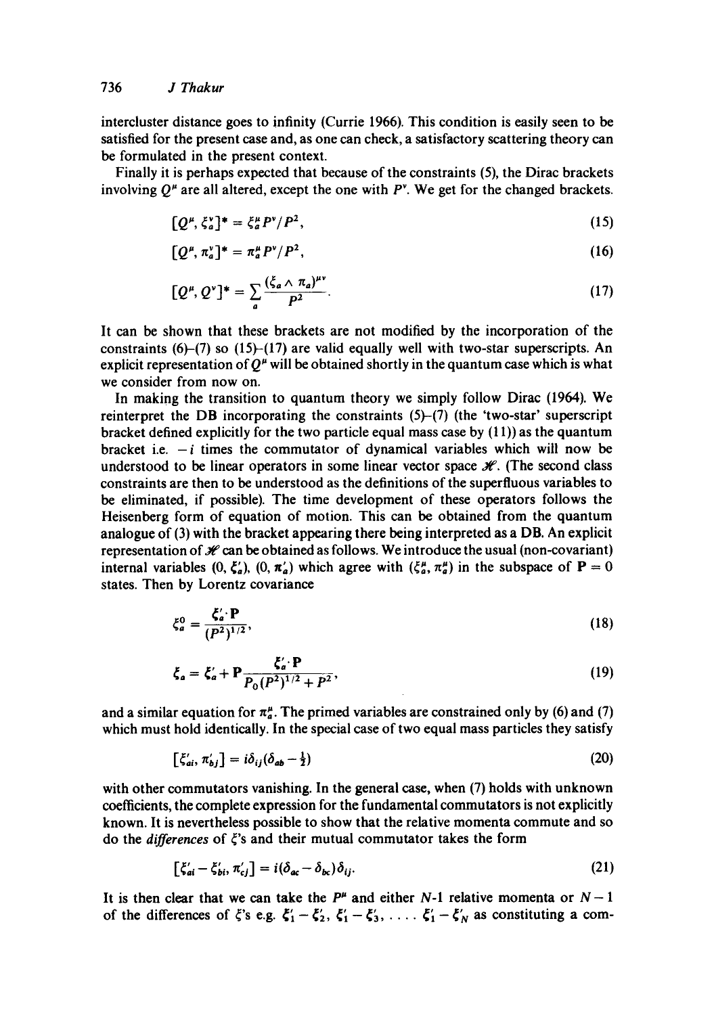intercluster distance goes to infinity (Currie 1966). This condition is easily seen to be satisfied for the present case and, as one can check, a satisfactory scattering theory can be formulated in the present context.

Finally it is perhaps expected that because of the constraints (5), the Dirac brackets involving  $Q^{\mu}$  are all altered, except the one with  $P^{\nu}$ . We get for the changed brackets.

$$
[Q^{\mu}, \xi_a^{\nu}]^* = \xi_a^{\mu} P^{\nu} / P^2, \qquad (15)
$$

$$
[Q^{\mu}, \pi_a^{\nu}]^* = \pi_a^{\mu} P^{\nu} / P^2, \qquad (16)
$$

$$
[Q^{\mu}, Q^{\nu}]^* = \sum_{a} \frac{(\xi_a \wedge \pi_a)^{\mu\nu}}{P^2}.
$$
 (17)

It can be shown that these brackets are not modified by the incorporation of the constraints  $(6)$ –(7) so  $(15)$ – $(17)$  are valid equally well with two-star superscripts. An explicit representation of  $Q^{\mu}$  will be obtained shortly in the quantum case which is what we consider from now on.

In making the transition to quantum theory we simply follow Dirac (1964). We reinterpret the DB incorporating the constraints (5)-(7) (the 'two-star' superscript bracket defined explicitly for the two particle equal mass case by  $(11)$ ) as the quantum bracket i.e.  $-i$  times the commutator of dynamical variables which will now be understood to be linear operators in some linear vector space  $\mathcal{H}$ . (The second class constraints are then to be understood as the definitions of the superfluous variables to be eliminated, if possible). The time development of these operators follows the Heisenberg form of equation of motion. This can be obtained from the quantum analogue of (3) with the bracket appearing there being interpreted as a DB. An explicit representation of  $\mathcal H$  can be obtained as follows. We introduce the usual (non-covariant) internal variables  $(0, \xi_a)$ ,  $(0, \pi_a)$  which agree with  $(\xi_a^{\mu}, \pi_a^{\mu})$  in the subspace of  $P = 0$ states. Then by Lorentz covariance

$$
\xi_a^0 = \frac{\xi_a' \cdot \mathbf{P}}{(P^2)^{1/2}},\tag{18}
$$

$$
\xi_a = \xi'_a + P \frac{\xi'_a \cdot P}{P_0 (P^2)^{1/2} + P^2},\tag{19}
$$

and a similar equation for  $\pi^{\mu}_{a}$ . The primed variables are constrained only by (6) and (7) which must hold identically. In the special case of two equal mass particles they satisfy

$$
\left[\xi'_{ai}, \pi'_{bj}\right] = i\delta_{ij}(\delta_{ab} - \frac{1}{2})\tag{20}
$$

with other commutators vanishing. In the general case, when (7) holds with unknown coefficients, the complete expression for the fundamental commutators is not explicitly known. It is nevertheless possible to show that the relative momenta commute and so do the *differences* of  $\xi$ 's and their mutual commutator takes the form

$$
\left[\xi'_{ai} - \xi'_{bi}, \pi'_{cj}\right] = i(\delta_{ac} - \delta_{bc})\delta_{ij}.\tag{21}
$$

It is then clear that we can take the  $P^{\mu}$  and either N-1 relative momenta or  $N-1$ of the differences of  $\xi$ 's e.g.  $\xi'_1 - \xi'_2$ ,  $\xi'_1 - \xi'_3$ , ....  $\xi'_1 - \xi'_N$  as constituting a com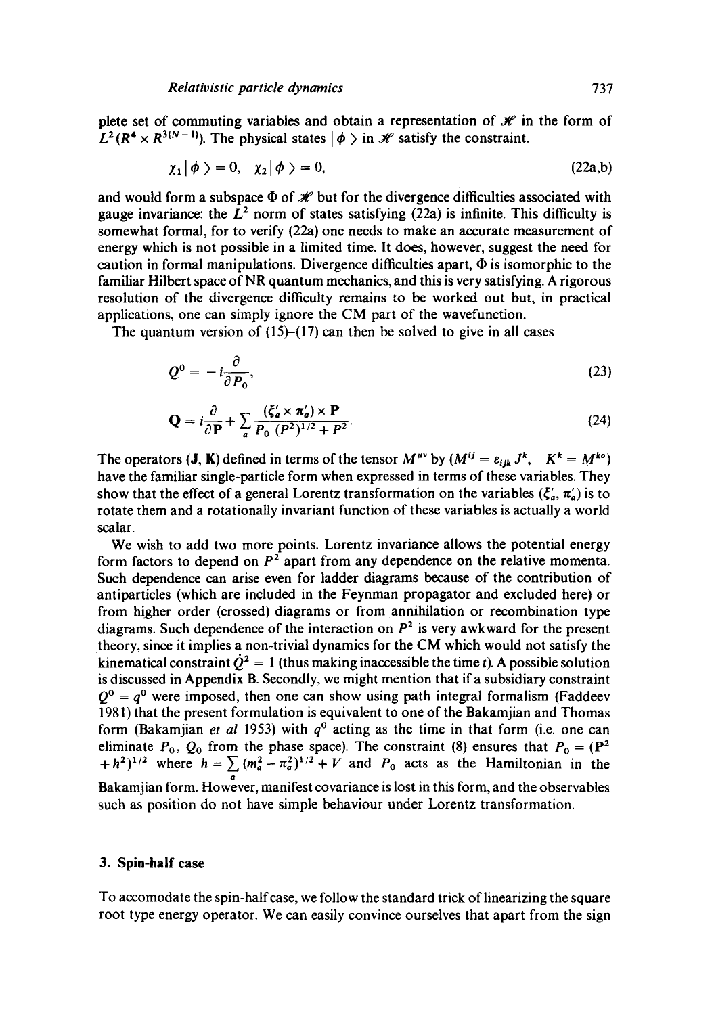plete set of commuting variables and obtain a representation of  $\mathcal{H}$  in the form of  $L^2(R^4 \times R^{3(N-1)})$ . The physical states  $|\phi \rangle$  in  $\mathcal{H}$  satisfy the constraint.

$$
\chi_1|\phi\rangle = 0, \quad \chi_2|\phi\rangle = 0, \tag{22a,b}
$$

and would form a subspace  $\Phi$  of  $\mathcal{H}$  but for the divergence difficulties associated with gauge invariance: the  $L^2$  norm of states satisfying (22a) is infinite. This difficulty is somewhat formal, for to verify (22a) one needs to make an accurate measurement of energy which is not possible in a limited time. It does, however, suggest the need for caution in formal manipulations. Divergence difficulties apart,  $\Phi$  is isomorphic to the familiar Hilbert space of NR quantum mechanics, and this is very satisfying. A rigorous resolution of the divergence difficulty remains to be worked out but, in practical applications, one can simply ignore the CM part of the wavefunction.

The quantum version of  $(15)$ - $(17)$  can then be solved to give in all cases

$$
Q^0 = -i\frac{\partial}{\partial P_0},\tag{23}
$$

$$
\mathbf{Q} = i \frac{\partial}{\partial \mathbf{P}} + \sum_{a} \frac{(\xi_a' \times \pi_a') \times \mathbf{P}}{P_0 \ (P^2)^{1/2} + P^2}.
$$
 (24)

The operators (**J**, **K**) defined in terms of the tensor  $M^{\mu\nu}$  by  $(M^{ij} = \varepsilon_{ijk} J^k$ ,  $K^k = M^{ko}$ ) have the familiar single-particle form when expressed in terms of these variables. They show that the effect of a general Lorentz transformation on the variables  $(\zeta_a', \pi_a')$  is to rotate them and a rotationally invariant function of these variables is actually a world scalar.

We wish to add two more points. Lorentz invariance allows the potential energy form factors to depend on  $P<sup>2</sup>$  apart from any dependence on the relative momenta. Such dependence can arise even for ladder diagrams because of the contribution of antiparticles (which are included in the Feynman propagator and excluded here) or from higher order (crossed) diagrams or from annihilation or recombination type diagrams. Such dependence of the interaction on  $P<sup>2</sup>$  is very awkward for the present theory, since it implies a non-trivial dynamics for the CM which would not satisfy the kinematical constraint  $\dot{Q}^2 = 1$  (thus making inaccessible the time t). A possible solution is discussed in Appendix B. Secondly, we might mention that if a subsidiary constraint  $Q^0 = q^0$  were imposed, then one can show using path integral formalism (Faddeev 1981) that the present formulation is equivalent to one of the Bakamjian and Thomas form (Bakamjian *et al* 1953) with  $q^0$  acting as the time in that form (i.e. one can eliminate  $P_0$ ,  $Q_0$  from the phase space). The constraint (8) ensures that  $P_0 = (\mathbf{P}^2$  $+h^2$ <sup>1/2</sup> where  $h=\sum (m_a^2-\pi_a^2)^{1/2}+V$  and  $P_0$  acts as the Hamiltonian in the Q Bakamjian form. However, manifest covariance is lost in this form, and the observables such as position do not have simple behaviour under Lorentz transformation.

## **3. Spin-half case**

To accomodate the spin-half case, we follow the standard trick of iinearizing the square root type energy operator. We can easily convince ourselves that apart from the sign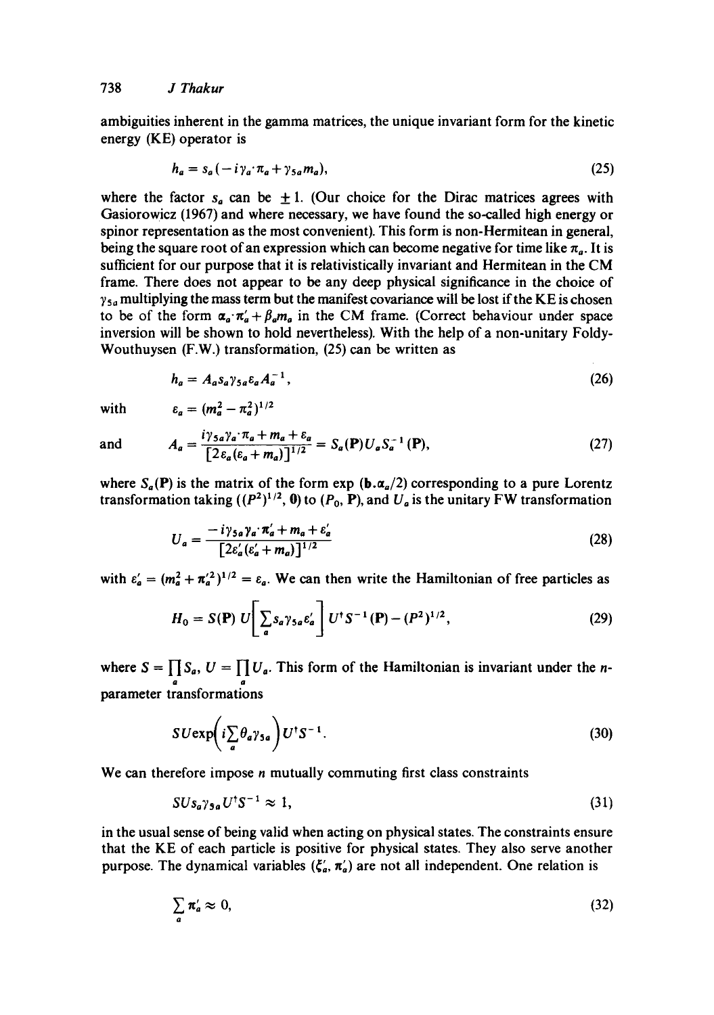ambiguities inherent in the gamma matrices, the unique invariant form for the kinetic energy (KE) operator is

$$
h_a = s_a(-i\gamma_a \cdot \pi_a + \gamma_{sa} m_a), \qquad (25)
$$

where the factor  $s_a$  can be  $\pm 1$ . (Our choice for the Dirac matrices agrees with Gasiorowicz (1967) and where necessary, we have found the so-called high energy or spinor representation as the most convenient). This form is non-Hermitean in general, being the square root of an expression which can become negative for time like  $\pi_a$ . It is sufficient for our purpose that it is relativisticaily invariant and Hermitean in the CM frame. There does not appear to be any deep physical significance in the choice of  $\gamma_{5a}$  multiplying the mass term but the manifest covariance will be lost if the KE is chosen to be of the form  $\alpha_a \cdot \pi'_a + \beta_a m_a$  in the CM frame. (Correct behaviour under space inversion will be shown to hold nevertheless). With the help of a non-unitary Foldy-Wouthuysen (F.W.) transformation, (25) can be written as

$$
h_a = A_a s_a \gamma_{5a} \varepsilon_a A_a^{-1}, \qquad (26)
$$

with  $\varepsilon_a = (m_a^2 - \pi_a^2)^{1/2}$ 

and 
$$
A_a = \frac{i\gamma_{5a}\gamma_a \cdot \pi_a + m_a + \varepsilon_a}{[2\varepsilon_a(\varepsilon_a + m_a)]^{1/2}} = S_a(\mathbf{P})U_a S_a^{-1}(\mathbf{P}),
$$
 (27)

where  $S_a(P)$  is the matrix of the form  $\exp (\mathbf{b} \cdot \mathbf{\alpha}_a/2)$  corresponding to a pure Lorentz transformation taking  $((P^2)^{1/2}, 0)$  to  $(P_0, P)$ , and  $U_a$  is the unitary FW transformation

$$
U_a = \frac{-i\gamma_{sa}\gamma_a\cdot\pi'_a + m_a + \varepsilon'_a}{\left[2\varepsilon'_a(\varepsilon'_a + m_a)\right]^{1/2}}
$$
(28)

with  $\varepsilon'_a = (m_a^2 + \pi_a^2)^{1/2} = \varepsilon_a$ . We can then write the Hamiltonian of free particles as

$$
H_0 = S(\mathbf{P}) U \left[ \sum_a s_a \gamma_{5a} \varepsilon_a' \right] U^{\dagger} S^{-1}(\mathbf{P}) - (P^2)^{1/2}, \qquad (29)
$$

where  $S = \prod S_a$ ,  $U = \prod U_a$ . This form of the Hamiltonian is invariant under the *n*a a parameter transformations

$$
SU \exp\left(i\sum_{a} \theta_{a}\gamma_{5a}\right) U^{\dagger} S^{-1}.
$$
 (30)

We can therefore impose *n* mutually commuting first class constraints

$$
SUs_a \gamma_{\mathfrak{s}_a} U^{\dagger} S^{-1} \approx 1,\tag{31}
$$

in the usual sense of being valid when acting on physical states. The constraints ensure that the KE of each particle is positive for physical states. They also serve another purpose. The dynamical variables  $(\zeta_a', \pi_a')$  are not all independent. One relation is

$$
\sum_{a} \pi'_a \approx 0, \tag{32}
$$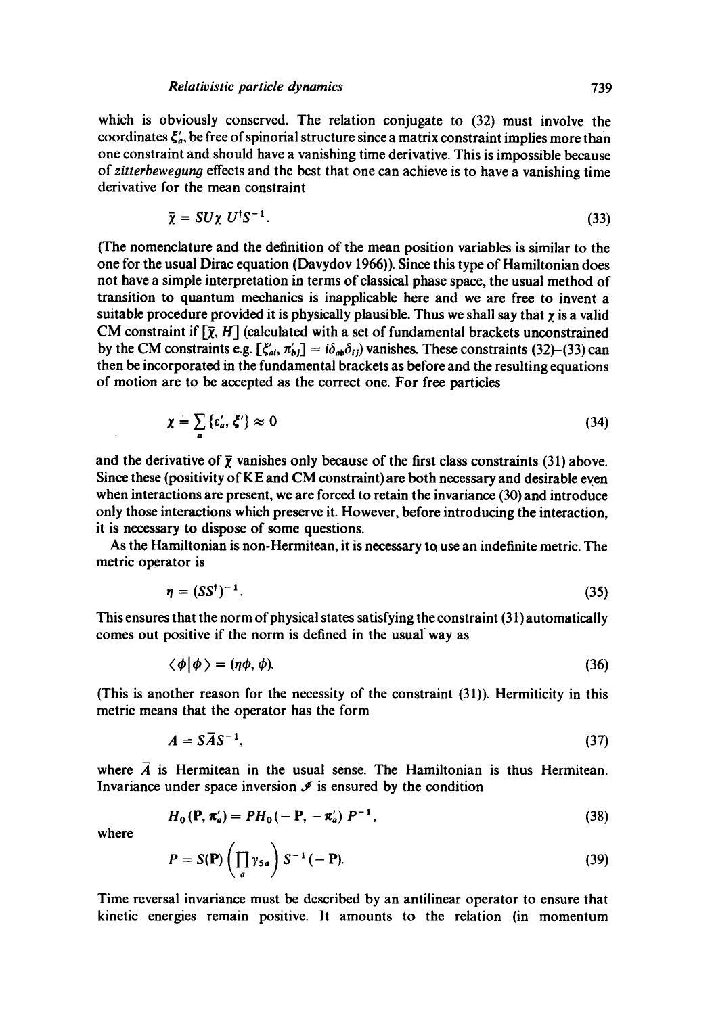which is obviously conserved. The relation conjugate to (32) must involve the coordinates  $\zeta'_a$ , be free of spinorial structure since a matrix constraint implies more than one constraint and should have a vanishing time derivative. This is impossible because of *zitterbewegung* effects and the best that one can achieve is to have a vanishing time derivative for the mean constraint

$$
\bar{\chi} = SU\chi \ U^{\dagger}S^{-1}.
$$
\n(33)

(The nomenclature and the definition of the mean position variables is similar to the one for the usual Dirac equation (Davydov 1966)). Since this type of Hamiltonian does not have a simple interpretation in terms of classical phase space, the usual method of transition to quantum mechanics is inapplicable here and we are free to invent a suitable procedure provided it is physically plausible. Thus we shall say that  $\chi$  is a valid CM constraint if  $[\bar{\chi}, H]$  (calculated with a set of fundamental brackets unconstrained by the CM constraints e.g.  $[\zeta'_{ai}, \pi'_{bi}] = i\delta_{ab}\delta_{ij}$  vanishes. These constraints (32)–(33) can then be incorporated in the fundamental brackets as before and the resulting equations of motion are to be accepted as the correct one. For free particles

$$
\chi = \sum_{a} \{ \varepsilon_a', \zeta' \} \approx 0 \tag{34}
$$

and the derivative of  $\bar{\chi}$  vanishes only because of the first class constraints (31) above. Since these (positivity of  $KE$  and  $CM$  constraint) are both necessary and desirable even when interactions are present, we are forced to retain the invariance (30) and introduce only those interactions which preserve it. However, before introducing the interaction, it is necessary to dispose of some questions.

As the Hamiltonian is non-Hermitean, it is necessary to use an indefinite metric. The metric operator is

$$
\eta = (SS^{\dagger})^{-1}.
$$
\n
$$
(35)
$$

This ensures that the norm of physical states satisfying the constraint (31) automatically comes out positive if the norm is defined in the usual way as

$$
\langle \phi | \phi \rangle = (\eta \phi, \phi). \tag{36}
$$

(This is another reason for the necessity of the constraint (31)). Hermiticity in this metric means that the operator has the form

$$
A = S\overline{A}S^{-1},\tag{37}
$$

where  $\vec{A}$  is Hermitean in the usual sense. The Hamiltonian is thus Hermitean. Invariance under space inversion  $\mathcal I$  is ensured by the condition

$$
H_0(\mathbf{P}, \pi'_a) = PH_0(-\mathbf{P}, -\pi'_a) P^{-1}, \tag{38}
$$

where

$$
P = S(\mathbf{P}) \left( \prod_{a} \gamma_{5a} \right) S^{-1} (-\mathbf{P}). \tag{39}
$$

Time reversal invariance must be described by an antilinear operator to ensure that kinetic energies remain positive. It amounts to the relation (in momentum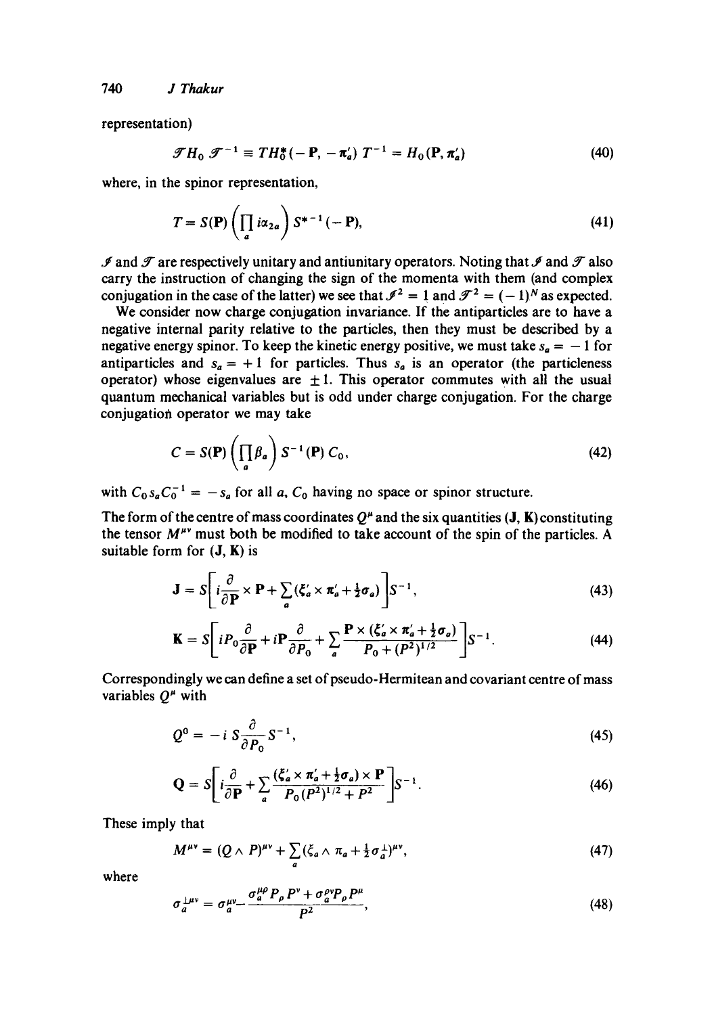representation)

$$
\mathcal{F}H_0 \mathcal{F}^{-1} \equiv TH_0^*(-\mathbf{P}, -\pi_a') T^{-1} = H_0(\mathbf{P}, \pi_a')
$$
 (40)

where, in the spinor representation,

$$
T = S(\mathbf{P}) \left( \prod_a i \alpha_{2a} \right) S^{*-1} (-\mathbf{P}), \tag{41}
$$

 $\mathscr I$  and  $\mathscr T$  are respectively unitary and antiunitary operators. Noting that  $\mathscr I$  and  $\mathscr T$  also carry the instruction of changing the sign of the momenta with them (and complex conjugation in the case of the latter) we see that  $\mathcal{I}^2 = 1$  and  $\mathcal{I}^2 = (-1)^N$  as expected.

We consider now charge conjugation invariance. If the antiparticles are to have a negative internal parity relative to the particles, then they must be described by a negative energy spinor. To keep the kinetic energy positive, we must take  $s_a = -1$  for antiparticles and  $s_a = +1$  for particles. Thus  $s_a$  is an operator (the particleness operator) whose eigenvalues are  $\pm 1$ . This operator commutes with all the usual quantum mechanical variables but is odd under charge conjugation. For the charge conjugation operator we may take

$$
C = S(\mathbf{P}) \left( \prod_{a} \beta_{a} \right) S^{-1}(\mathbf{P}) C_{0}, \qquad (42)
$$

with  $C_0 s_a C_0^{-1} = -s_a$  for all a,  $C_0$  having no space or spinor structure.

The form of the centre of mass coordinates  $Q^{\mu}$  and the six quantities (J, K) constituting the tensor  $M^{\mu\nu}$  must both be modified to take account of the spin of the particles. A suitable form for  $(J, K)$  is

$$
\mathbf{J} = S \left[ i \frac{\partial}{\partial \mathbf{P}} \times \mathbf{P} + \sum_{a} (\zeta_a' \times \pi_a' + \frac{1}{2} \sigma_a) \right] S^{-1}, \tag{43}
$$

$$
\mathbf{K} = S \bigg[ i P_0 \frac{\partial}{\partial \mathbf{P}} + i \mathbf{P} \frac{\partial}{\partial P_0} + \sum_a \frac{\mathbf{P} \times (\xi_a' \times \pi_a' + \frac{1}{2} \sigma_a)}{P_0 + (P^2)^{1/2}} \bigg] S^{-1}.
$$
 (44)

Correspondingly we can define a set of pseudo-Hermitean and covariant centre of mass variables  $Q^{\mu}$  with

$$
Q^0 = -i S \frac{\partial}{\partial P_0} S^{-1}, \qquad (45)
$$

$$
\mathbf{Q} = S \left[ i \frac{\partial}{\partial \mathbf{P}} + \sum_{a} \frac{(\xi_a' \times \pi_a' + \frac{1}{2} \sigma_a) \times \mathbf{P}}{P_0 (P^2)^{1/2} + P^2} \right] S^{-1}.
$$
 (46)

These imply that

$$
M^{\mu\nu} = (Q \wedge P)^{\mu\nu} + \sum_{a} (\xi_a \wedge \pi_a + \frac{1}{2} \sigma_a^{\perp})^{\mu\nu}, \qquad (47)
$$

where

$$
\sigma_a^{\perp \mu \nu} = \sigma_a^{\mu \nu} - \frac{\sigma_a^{\mu \rho} P_\rho P^\nu + \sigma_a^{\rho \nu} P_\rho P^\mu}{P^2},\tag{48}
$$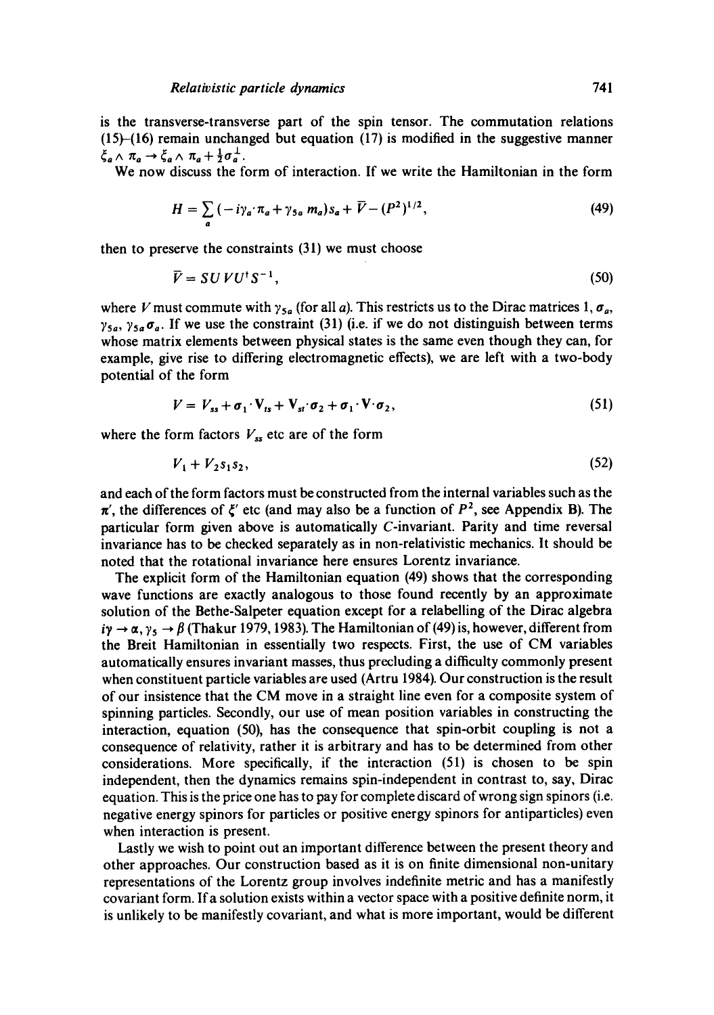is the transverse-transverse part of the spin tensor. The commutation relations  $(15)$ - $(16)$  remain unchanged but equation  $(17)$  is modified in the suggestive manner  $\xi_a \wedge \pi_a \rightarrow \xi_a \wedge \pi_a + \frac{1}{2} \sigma_a^{\perp}.$ 

We now discuss the form of interaction. If we write the Hamiltonian in the form

$$
H = \sum_{a} \left( -i \gamma_a \cdot \pi_a + \gamma_{5a} \, m_a \right) s_a + \overline{V} - (P^2)^{1/2}, \tag{49}
$$

then to preserve the constraints (31) we must choose

$$
\overline{V} = SU V U^{\dagger} S^{-1},\tag{50}
$$

where V must commute with  $\gamma_{5a}$  (for all a). This restricts us to the Dirac matrices 1,  $\sigma_a$ ,  $\gamma_{5a}$ ,  $\gamma_{5a}\sigma_a$ . If we use the constraint (31) (i.e. if we do not distinguish between terms whose matrix elements between physical states is the same even though they can, for example, give rise to differing electromagnetic effects), we are left with a two-body potential of the form

$$
V = V_{ss} + \sigma_1 \cdot V_{ts} + V_{st} \cdot \sigma_2 + \sigma_1 \cdot V \cdot \sigma_2, \qquad (51)
$$

where the form factors  $V_{ss}$  etc are of the form

$$
V_1 + V_2 s_1 s_2, \t\t(52)
$$

and each of the form factors must be constructed from the internal variables such as the  $\pi'$ , the differences of  $\xi'$  etc (and may also be a function of  $P^2$ , see Appendix B). The particular form given above is automatically C-invariant. Parity and time reversal invariance has to be checked separately as in non-relativistic mechanics. It should be noted that the rotational invariance here ensures Lorentz invariance.

The explicit form of the Hamiltonian equation (49) shows that the corresponding wave functions are exactly analogous to those found recently by an approximate solution of the Bethe-Salpeter equation except for a relabelling of the Dirac algebra  $i\gamma \rightarrow \alpha$ ,  $\gamma_5 \rightarrow \beta$  (Thakur 1979, 1983). The Hamiltonian of (49) is, however, different from the Breit Hamiltonian in essentially two respects. First, the use of CM variables automatically ensures invariant masses, thus precluding a difficulty commonly present when constituent particle variables are used (Artru 1984). Our construction is the result of our insistence that the CM move in a straight line even for a composite system of spinning particles. Secondly, our use of mean position variables in constructing the interaction, equation (50), has the consequence that spin-orbit coupling is not a consequence of relativity, rather it is arbitrary and has to be determined from other considerations. More specifically, if the interaction (51) is chosen to be spin independent, then the dynamics remains spin-independent in contrast to, say, Dirac equation. This is the price one has to pay for complete discard of wrong sign spinors (i.e. negative energy spinors for particles or positive energy spinors for antiparticles) even when interaction is present.

Lastly we wish to point out an important difference between the present theory and other approaches. Our construction based as it is on finite dimensional non-unitary representations of the Lorentz group involves indefinite metric and has a manifestly covariant form. Ifa solution exists within a vector space with a positive definite norm, it is unlikely to be manifestly covariant, and what is more important, would be different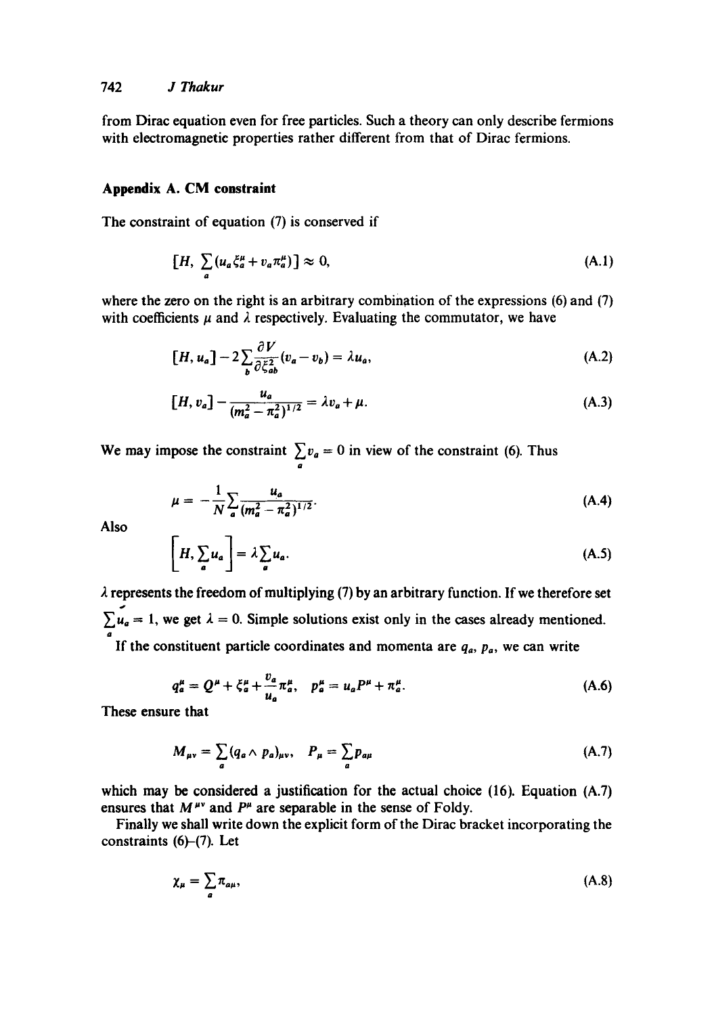from Dirac equation even for free particles. Such a theory can only describe fermions with electromagnetic properties rather different from that of Dirac fermions.

### **Appendix A. CM constraint**

The constraint of equation (7) is conserved if

$$
[H, \sum_{a} (u_a \xi_a^{\mu} + v_a \pi_a^{\mu})] \approx 0,
$$
 (A.1)

where the zero on the right is an arbitrary combination of the expressions (6) and (7) with coefficients  $\mu$  and  $\lambda$  respectively. Evaluating the commutator, we have

$$
[H, u_a] - 2\sum_b \frac{\partial V}{\partial \xi_{ab}^2} (v_a - v_b) = \lambda u_a,
$$
 (A.2)

$$
[H, v_a] - \frac{u_a}{(m_a^2 - \pi_a^2)^{1/2}} = \lambda v_a + \mu.
$$
 (A.3)

We may impose the constraint  $\sum v_a = 0$  in view of the constraint (6). Thus

O

$$
\mu = -\frac{1}{N} \sum_{a} \frac{u_a}{(m_a^2 - \pi_a^2)^{1/2}}.
$$
 (A.4)

Also

$$
\left[H, \sum_{a} u_a\right] = \lambda \sum_{a} u_a. \tag{A.5}
$$

 $\lambda$  represents the freedom of multiplying (7) by an arbitrary function. If we therefore set  $\sum_{a} u_a = 1$ , we get  $\lambda = 0$ . Simple solutions exist only in the cases already mentioned.

If the constituent particle coordinates and momenta are  $q_a$ ,  $p_a$ , we can write

$$
q_a^{\mu} = Q^{\mu} + \xi_a^{\mu} + \frac{v_a}{u_a} \pi_a^{\mu}, \quad p_a^{\mu} = u_a P^{\mu} + \pi_a^{\mu}.
$$
 (A.6)

These ensure that

$$
M_{\mu\nu} = \sum_{a} (q_a \wedge p_a)_{\mu\nu}, \quad P_{\mu} = \sum_{a} p_{a\mu} \tag{A.7}
$$

which may be considered a justification for the actual choice (16). Equation (A.7) ensures that  $M^{\mu\nu}$  and  $P^{\mu}$  are separable in the sense of Foldy.

Finally we shall write down the explicit form of the Dirac bracket incorporating the constraints (6)-(7). Let

$$
\chi_{\mu} = \sum_{a} \pi_{a\mu},\tag{A.8}
$$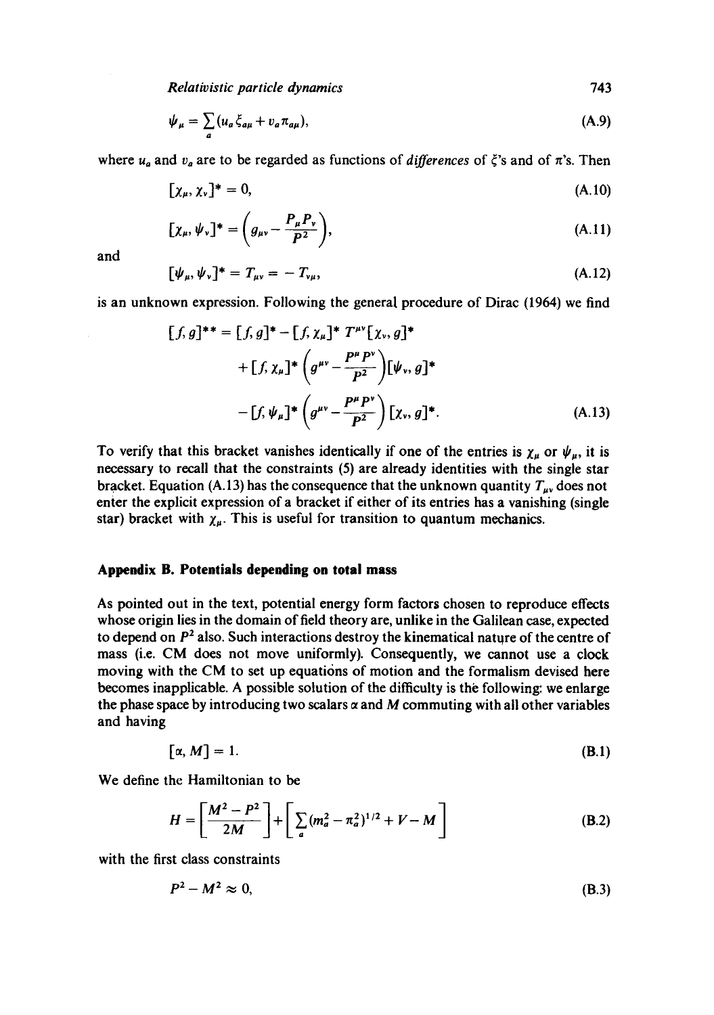*Relativistic particle dynamics* 743

$$
\psi_{\mu} = \sum_{a} (u_a \xi_{a\mu} + v_a \pi_{a\mu}), \tag{A.9}
$$

where  $u_a$  and  $v_a$  are to be regarded as functions of *differences* of  $\zeta$ 's and of  $\pi$ 's. Then

$$
[\chi_{\mu}, \chi_{\nu}]^* = 0, \tag{A.10}
$$

$$
[\chi_{\mu}, \psi_{\nu}]^* = \left(g_{\mu\nu} - \frac{P_{\mu}P_{\nu}}{P^2}\right),\tag{A.11}
$$

and

$$
[\psi_{\mu}, \psi_{\nu}]^* = T_{\mu\nu} = -T_{\nu\mu}, \tag{A.12}
$$

is an unknown expression. Following the general procedure of Dirac (1964) we find

$$
[f,g]^{**} = [f,g]^{*} - [f,\chi_{\mu}]^{*} T^{\mu\nu} [\chi_{\nu}, g]^{*}
$$
  
+ 
$$
[f,\chi_{\mu}]^{*} \left( g^{\mu\nu} - \frac{P^{\mu} P^{\nu}}{P^{2}} \right) [\psi_{\nu}, g]^{*}
$$
  
- 
$$
[f,\psi_{\mu}]^{*} \left( g^{\mu\nu} - \frac{P^{\mu} P^{\nu}}{P^{2}} \right) [\chi_{\nu}, g]^{*}.
$$
 (A.13)

To verify that this bracket vanishes identically if one of the entries is  $\chi_{\mu}$  or  $\psi_{\mu}$ , it is necessary to recall that the constraints (5) are already identities with the single star bracket. Equation (A.13) has the consequence that the unknown quantity  $T_{\mu\nu}$  does not enter the explicit expression of a bracket if either of its entries has a vanishing (single star) bracket with  $\chi_{\mu}$ . This is useful for transition to quantum mechanics.

#### **Appendix B. Potentials depending on total mass**

As pointed out in the text, potential energy form factors chosen to reproduce effects whose origin lies in the domain of field theory are, unlike in the Galilean case, expected to depend on  $P<sup>2</sup>$  also. Such interactions destroy the kinematical nature of the centre of mass (i.e. CM does not move uniformly). Consequently, we cannot use a clock moving with the CM to set up equations of motion and the formalism devised here becomes inapplicable. A possible solution of the difficulty is the following: we enlarge the phase space by introducing two scalars  $\alpha$  and M commuting with all other variables and having

$$
[\alpha, M] = 1. \tag{B.1}
$$

We define the Hamiltonian to be

$$
H = \left[\frac{M^2 - P^2}{2M}\right] + \left[\sum_a (m_a^2 - \pi_a^2)^{1/2} + V - M\right]
$$
 (B.2)

with the first class constraints

$$
P^2 - M^2 \approx 0,\tag{B.3}
$$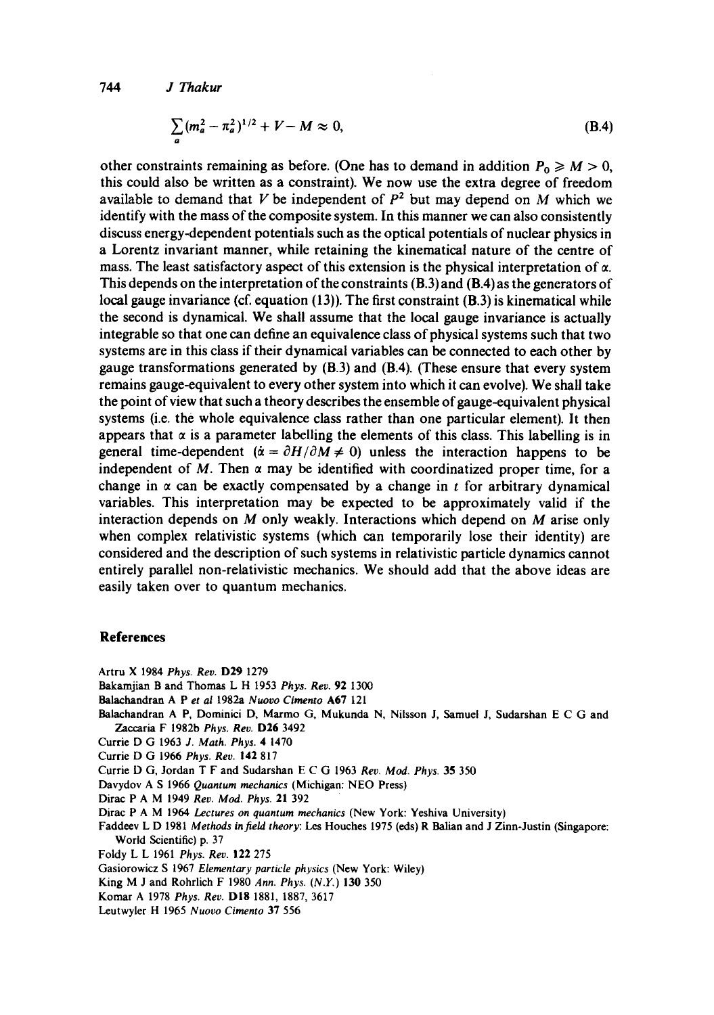*744 J Thakur* 

$$
\sum_{a} (m_a^2 - \pi_a^2)^{1/2} + V - M \approx 0,
$$
 (B.4)

other constraints remaining as before. (One has to demand in addition  $P_0 \ge M > 0$ , this could also be written as a constraint). We now use the extra degree of freedom available to demand that V be independent of  $P<sup>2</sup>$  but may depend on M which we identify with the mass of the composite system. In this manner we can also consistently discuss energy-dependent potentials such as the optical potentials of nuclear physics in a Lorentz invariant manner, while retaining the kinematical nature of the centre of mass. The least satisfactory aspect of this extension is the physical interpretation of  $\alpha$ . This depends on the interpretation of the constraints (B.3) and (B.4) as the generators of local gauge invariance (cf. equation (13)). The first constraint (B.3) is kinematical while the second is dynamical. We shall assume that the local gauge invariance is actually integrable so that one can define an equivalence class of physical systems such that two systems are in this class if their dynamical variables can be connected to each other by gauge transformations generated by (B.3) and (B.4). (These ensure that every system remains gauge-equivalent to every other system into which it can evolve). We shall take the point of view that such a theory describes the ensemble of gauge-equivalent physical systems (i.e. the whole equivalence class rather than one particular element). It then appears that  $\alpha$  is a parameter labelling the elements of this class. This labelling is in general time-dependent ( $\dot{\alpha} = \partial H/\partial M \neq 0$ ) unless the interaction happens to be independent of M. Then  $\alpha$  may be identified with coordinatized proper time, for a change in  $\alpha$  can be exactly compensated by a change in t for arbitrary dynamical variables. This interpretation may be expected to be approximately valid if the interaction depends on M only weakly. Interactions which depend on M arise only when complex relativistic systems (which can temporarily lose their identity) are considered and the description of such systems in relativistic particle dynamics cannot entirely parallel non-relativistic mechanics. We should add that the above ideas are easily taken over to quantum mechanics.

## **References**

- Artru X 1984 *Phys. Rev.* D29 1279
- Bakamjian B and Thomas L H 1953 *Phys. Rev.* 92 1300
- Balachandran A Pet *at* 1982a *Nuovo Cimento* A67 121
- Balachandran A P, Dominici D, Marmo G, Mukunda N, Nilsson J, Samuel J, Sudarshan E C G and Zaccaria F 1982b *Phys. Rev.* D26 3492
- Currie D G 1963 *J. Math. Phys.* 4 1470
- Currie D G 1966 *Phys. Reo.* 142 817
- Currie D G, Jordan T F and Sudarshan E C G 1963 *Rev. Mod. Phys.* 35 350
- Davydov A S 1966 *Quantum mechanics* (Michigan: NEO Press)
- Dirac P A M 1949 *Rev. MOd. Phys.* 21 392
- Dirac P A M 1964 *Lectures on quantum mechanics* (New York: Yeshiva University)
- Faddeev L D 1981 *Methods infield theory: Les* Houches 1975 (eds) R Balian and J Zinn-Justin (Singapore: World Scientific) p. 37
- Foldy L L 1961 *Phys. Reo.* 122 275
- Gasiorowicz S 1967 *Elementary particle physics* (New York: Wiley)
- King M J and Rohrlich F 1980 *Ann. Phys. (N.Y.)* 130 350
- Komar A 1978 *Phys. Rev.* DI8 1881, 1887, 3617
- Leutwyler H 1965 *Nuovo Cimento* 37 556